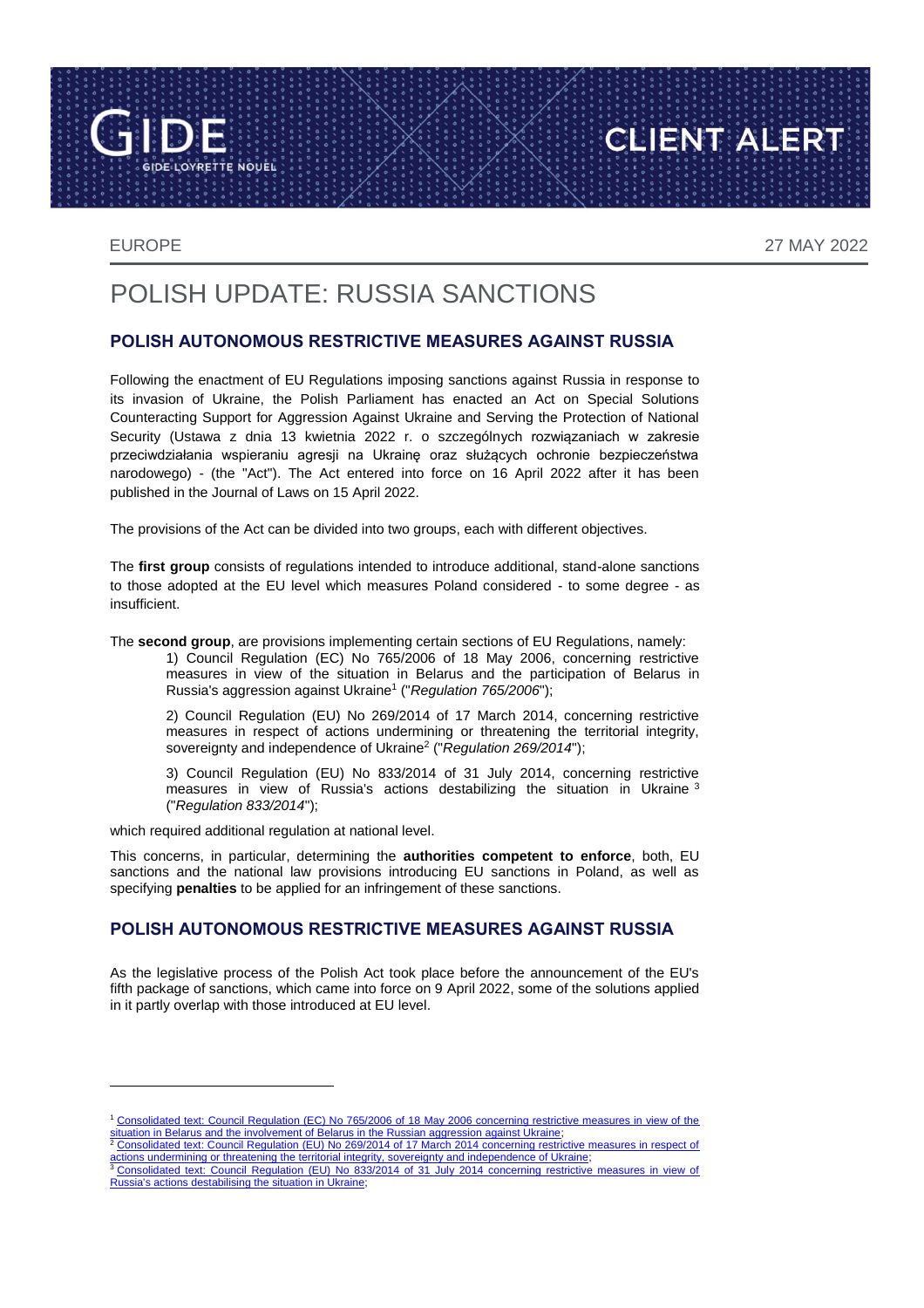**TE NOUEL** 

EUROPE 27 MAY 2022

CLIENT ALERT

# POLISH UPDATE: RUSSIA SANCTIONS

### **POLISH AUTONOMOUS RESTRICTIVE MEASURES AGAINST RUSSIA**

Following the enactment of EU Regulations imposing sanctions against Russia in response to its invasion of Ukraine, the Polish Parliament has enacted an Act on Special Solutions Counteracting Support for Aggression Against Ukraine and Serving the Protection of National Security (Ustawa z dnia 13 kwietnia 2022 r. o szczególnych rozwiązaniach w zakresie przeciwdziałania wspieraniu agresji na Ukrainę oraz służących ochronie bezpieczeństwa narodowego) - (the "Act"). The Act entered into force on 16 April 2022 after it has been published in the Journal of Laws on 15 April 2022.

The provisions of the Act can be divided into two groups, each with different objectives.

The **first group** consists of regulations intended to introduce additional, stand-alone sanctions to those adopted at the EU level which measures Poland considered - to some degree - as insufficient.

The **second group**, are provisions implementing certain sections of EU Regulations, namely:

1) Council Regulation (EC) No 765/2006 of 18 May 2006, concerning restrictive measures in view of the situation in Belarus and the participation of Belarus in Russia's aggression against Ukraine<sup>1</sup> ("*Regulation 765/2006*");

2) Council Regulation (EU) No 269/2014 of 17 March 2014, concerning restrictive measures in respect of actions undermining or threatening the territorial integrity, sovereignty and independence of Ukraine<sup>2</sup> ("*Regulation 269/2014*");

3) Council Regulation (EU) No 833/2014 of 31 July 2014, concerning restrictive measures in view of Russia's actions destabilizing the situation in Ukraine <sup>3</sup> ("*Regulation 833/2014*");

which required additional regulation at national level.

This concerns, in particular, determining the **authorities competent to enforce**, both, EU sanctions and the national law provisions introducing EU sanctions in Poland, as well as specifying **penalties** to be applied for an infringement of these sanctions.

#### **POLISH AUTONOMOUS RESTRICTIVE MEASURES AGAINST RUSSIA**

As the legislative process of the Polish Act took place before the announcement of the EU's fifth package of sanctions, which came into force on 9 April 2022, some of the solutions applied in it partly overlap with those introduced at EU level.

<sup>1</sup> Consolidated text: Council Regulation (EC) No 765/2006 of 18 May 2006 concerning restrictive measures in view of the [situation in Belarus and the involvement of Belarus in the Russian aggression against Ukraine;](https://eur-lex.europa.eu/eli/reg/2006/765/2022-03-10)<br><sup>2</sup> Consolidated text: Council Regulation (EU) No 269/2014 of 17 March 2014 concerning restrictive measures in respect of

[actions undermining or threatening the territorial integrity, sovereignty and independence of Ukraine;](https://eur-lex.europa.eu/eli/reg/2014/269/2022-03-15)<br><sup>3</sup> Consolidated text: Council Regulation (EU) No 833/2014 of 31 July 2014 concerning restrictive measures in view of [Russia's actions destabilising the situation in Ukraine;](https://eur-lex.europa.eu/eli/reg/2014/833/2022-03-16)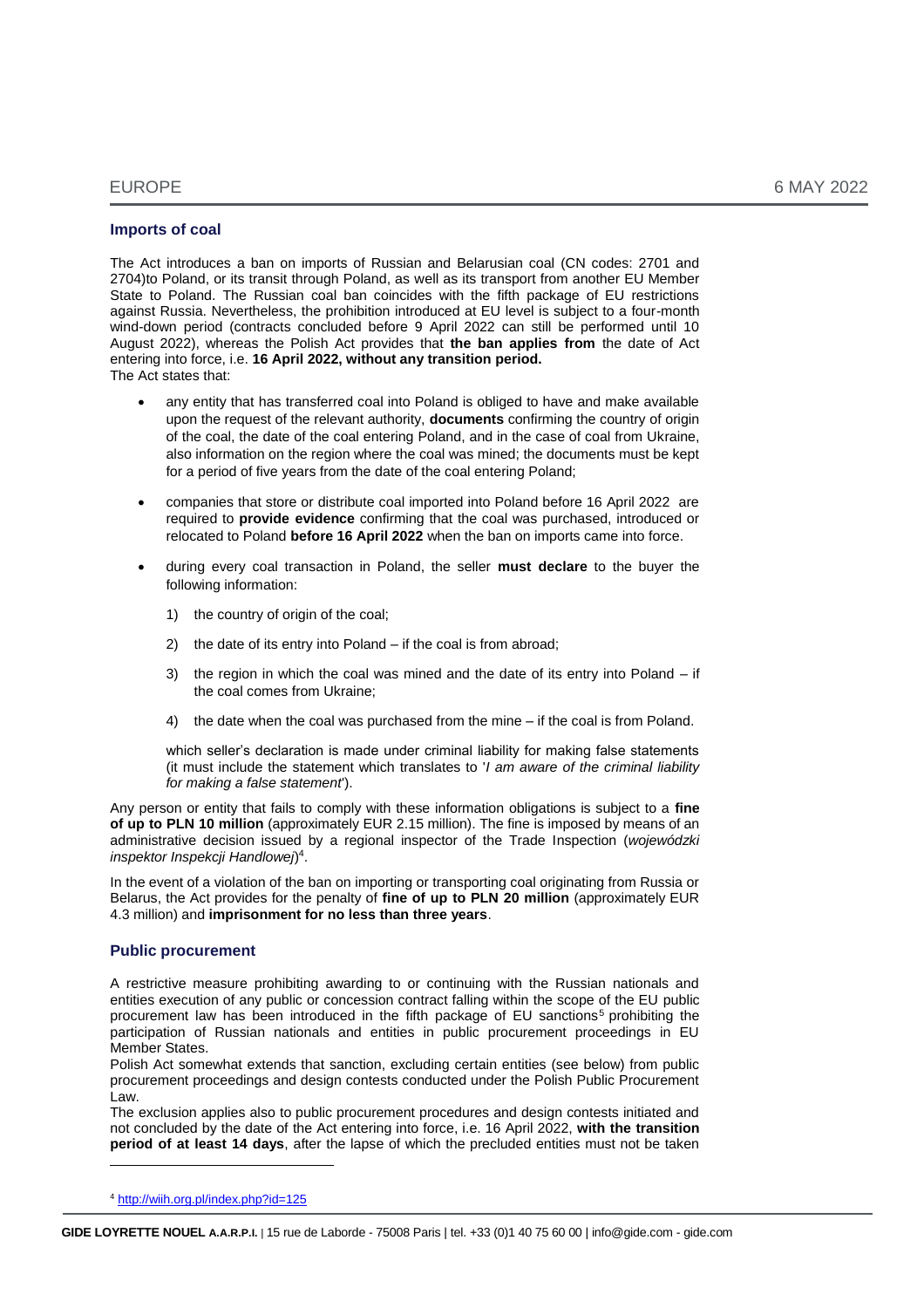#### **Imports of coal**

The Act introduces a ban on imports of Russian and Belarusian coal (CN codes: 2701 and 2704)to Poland, or its transit through Poland, as well as its transport from another EU Member State to Poland. The Russian coal ban coincides with the fifth package of EU restrictions against Russia. Nevertheless, the prohibition introduced at EU level is subject to a four-month wind-down period (contracts concluded before 9 April 2022 can still be performed until 10 August 2022), whereas the Polish Act provides that **the ban applies from** the date of Act entering into force, i.e. **16 April 2022, without any transition period.** The Act states that:

- any entity that has transferred coal into Poland is obliged to have and make available upon the request of the relevant authority, **documents** confirming the country of origin of the coal, the date of the coal entering Poland, and in the case of coal from Ukraine, also information on the region where the coal was mined; the documents must be kept for a period of five years from the date of the coal entering Poland;
- companies that store or distribute coal imported into Poland before 16 April 2022 are required to **provide evidence** confirming that the coal was purchased, introduced or relocated to Poland **before 16 April 2022** when the ban on imports came into force.
- during every coal transaction in Poland, the seller **must declare** to the buyer the following information:
	- 1) the country of origin of the coal;
	- 2) the date of its entry into Poland if the coal is from abroad;
	- 3) the region in which the coal was mined and the date of its entry into Poland  $-$  if the coal comes from Ukraine;
	- 4) the date when the coal was purchased from the mine if the coal is from Poland.

which seller's declaration is made under criminal liability for making false statements (it must include the statement which translates to '*I am aware of the criminal liability for making a false statement*').

Any person or entity that fails to comply with these information obligations is subject to a **fine of up to PLN 10 million** (approximately EUR 2.15 million). The fine is imposed by means of an administrative decision issued by a regional inspector of the Trade Inspection (*wojewódzki inspektor Inspekcji Handlowej*) 4 .

In the event of a violation of the ban on importing or transporting coal originating from Russia or Belarus, the Act provides for the penalty of **fine of up to PLN 20 million** (approximately EUR 4.3 million) and **imprisonment for no less than three years**.

#### **Public procurement**

A restrictive measure prohibiting awarding to or continuing with the Russian nationals and entities execution of any public or concession contract falling within the scope of the EU public procurement law has been introduced in the fifth package of EU sanctions<sup>5</sup> prohibiting the participation of Russian nationals and entities in public procurement proceedings in EU Member States.

Polish Act somewhat extends that sanction, excluding certain entities (see below) from public procurement proceedings and design contests conducted under the Polish Public Procurement Law.

The exclusion applies also to public procurement procedures and design contests initiated and not concluded by the date of the Act entering into force, i.e. 16 April 2022, **with the transition period of at least 14 days**, after the lapse of which the precluded entities must not be taken

 $\overline{a}$ 

<sup>4</sup> <http://wiih.org.pl/index.php?id=125>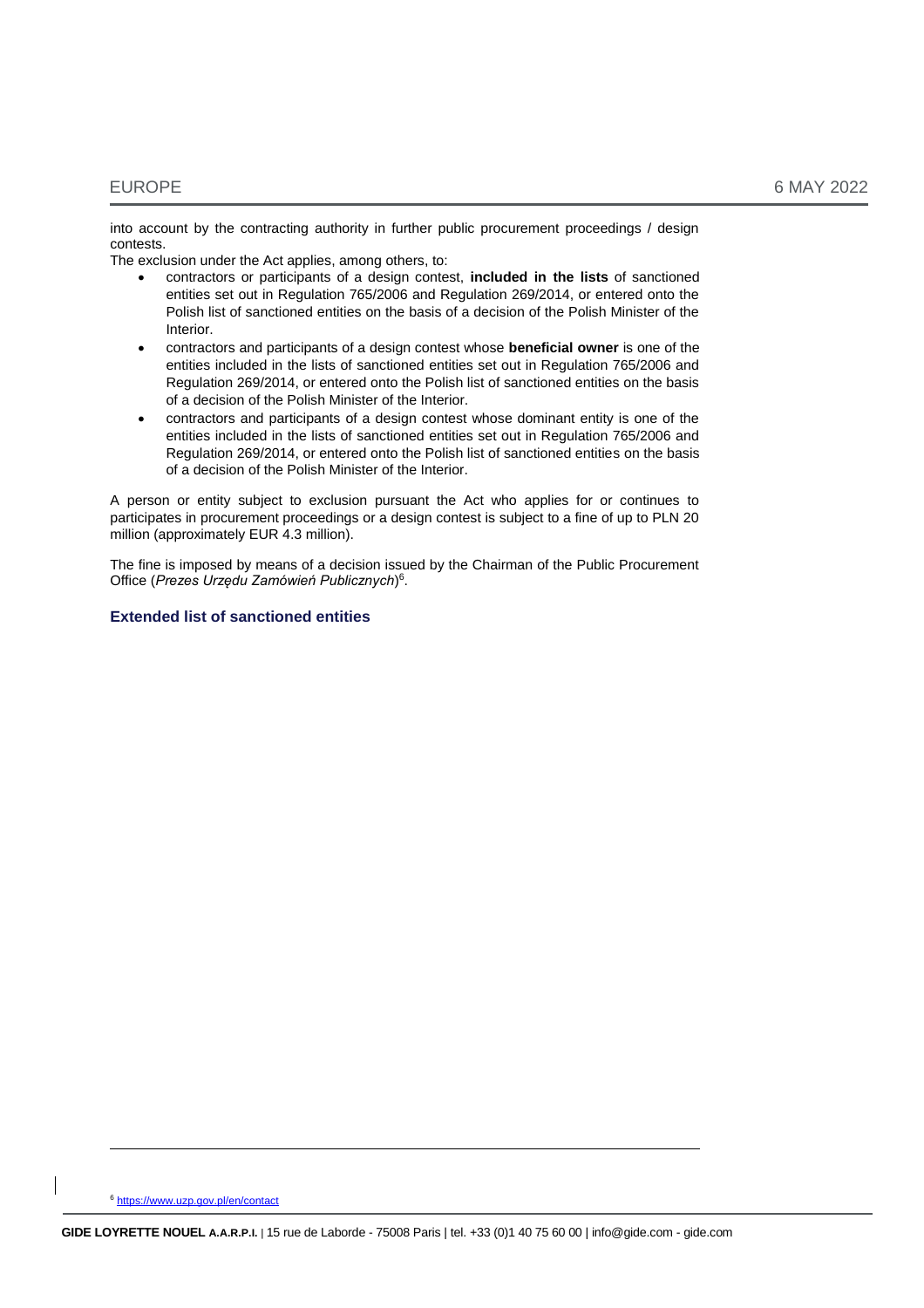into account by the contracting authority in further public procurement proceedings / design contests.

The exclusion under the Act applies, among others, to:

- contractors or participants of a design contest, **included in the lists** of sanctioned entities set out in Regulation 765/2006 and Regulation 269/2014, or entered onto the Polish list of sanctioned entities on the basis of a decision of the Polish Minister of the Interior.
- contractors and participants of a design contest whose **beneficial owner** is one of the entities included in the lists of sanctioned entities set out in Regulation 765/2006 and Regulation 269/2014, or entered onto the Polish list of sanctioned entities on the basis of a decision of the Polish Minister of the Interior.
- contractors and participants of a design contest whose dominant entity is one of the entities included in the lists of sanctioned entities set out in Regulation 765/2006 and Regulation 269/2014, or entered onto the Polish list of sanctioned entities on the basis of a decision of the Polish Minister of the Interior.

A person or entity subject to exclusion pursuant the Act who applies for or continues to participates in procurement proceedings or a design contest is subject to a fine of up to PLN 20 million (approximately EUR 4.3 million).

The fine is imposed by means of a decision issued by the Chairman of the Public Procurement Office (*Prezes Urzędu Zamówień Publicznych*) 6 .

#### **Extended list of sanctioned entities**

<sup>6</sup> <https://www.uzp.gov.pl/en/contact>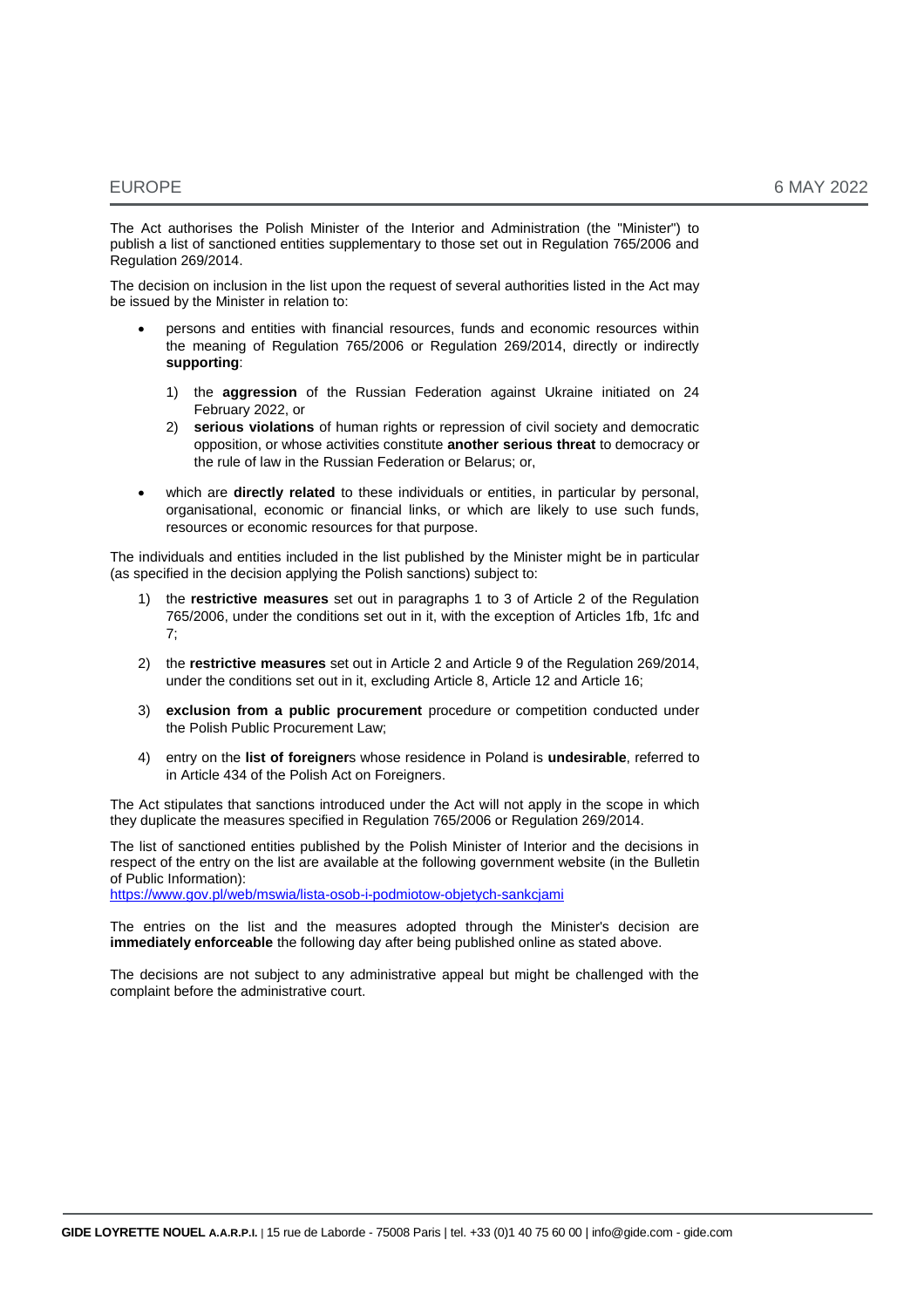The Act authorises the Polish Minister of the Interior and Administration (the "Minister") to publish a list of sanctioned entities supplementary to those set out in Regulation 765/2006 and Regulation 269/2014.

The decision on inclusion in the list upon the request of several authorities listed in the Act may be issued by the Minister in relation to:

- persons and entities with financial resources, funds and economic resources within the meaning of Regulation 765/2006 or Regulation 269/2014, directly or indirectly **supporting**:
	- 1) the **aggression** of the Russian Federation against Ukraine initiated on 24 February 2022, or
	- 2) **serious violations** of human rights or repression of civil society and democratic opposition, or whose activities constitute **another serious threat** to democracy or the rule of law in the Russian Federation or Belarus; or,
- which are **directly related** to these individuals or entities, in particular by personal, organisational, economic or financial links, or which are likely to use such funds, resources or economic resources for that purpose.

The individuals and entities included in the list published by the Minister might be in particular (as specified in the decision applying the Polish sanctions) subject to:

- 1) the **restrictive measures** set out in paragraphs 1 to 3 of Article 2 of the Regulation 765/2006, under the conditions set out in it, with the exception of Articles 1fb, 1fc and 7;
- 2) the **restrictive measures** set out in Article 2 and Article 9 of the Regulation 269/2014, under the conditions set out in it, excluding Article 8, Article 12 and Article 16;
- 3) **exclusion from a public procurement** procedure or competition conducted under the Polish Public Procurement Law;
- 4) entry on the **list of foreigner**s whose residence in Poland is **undesirable**, referred to in Article 434 of the Polish Act on Foreigners.

The Act stipulates that sanctions introduced under the Act will not apply in the scope in which they duplicate the measures specified in Regulation 765/2006 or Regulation 269/2014.

The list of sanctioned entities published by the Polish Minister of Interior and the decisions in respect of the entry on the list are available at the following government website (in the Bulletin of Public Information): <https://www.gov.pl/web/mswia/lista-osob-i-podmiotow-objetych-sankcjami>

The entries on the list and the measures adopted through the Minister's decision are **immediately enforceable** the following day after being published online as stated above.

The decisions are not subject to any administrative appeal but might be challenged with the complaint before the administrative court.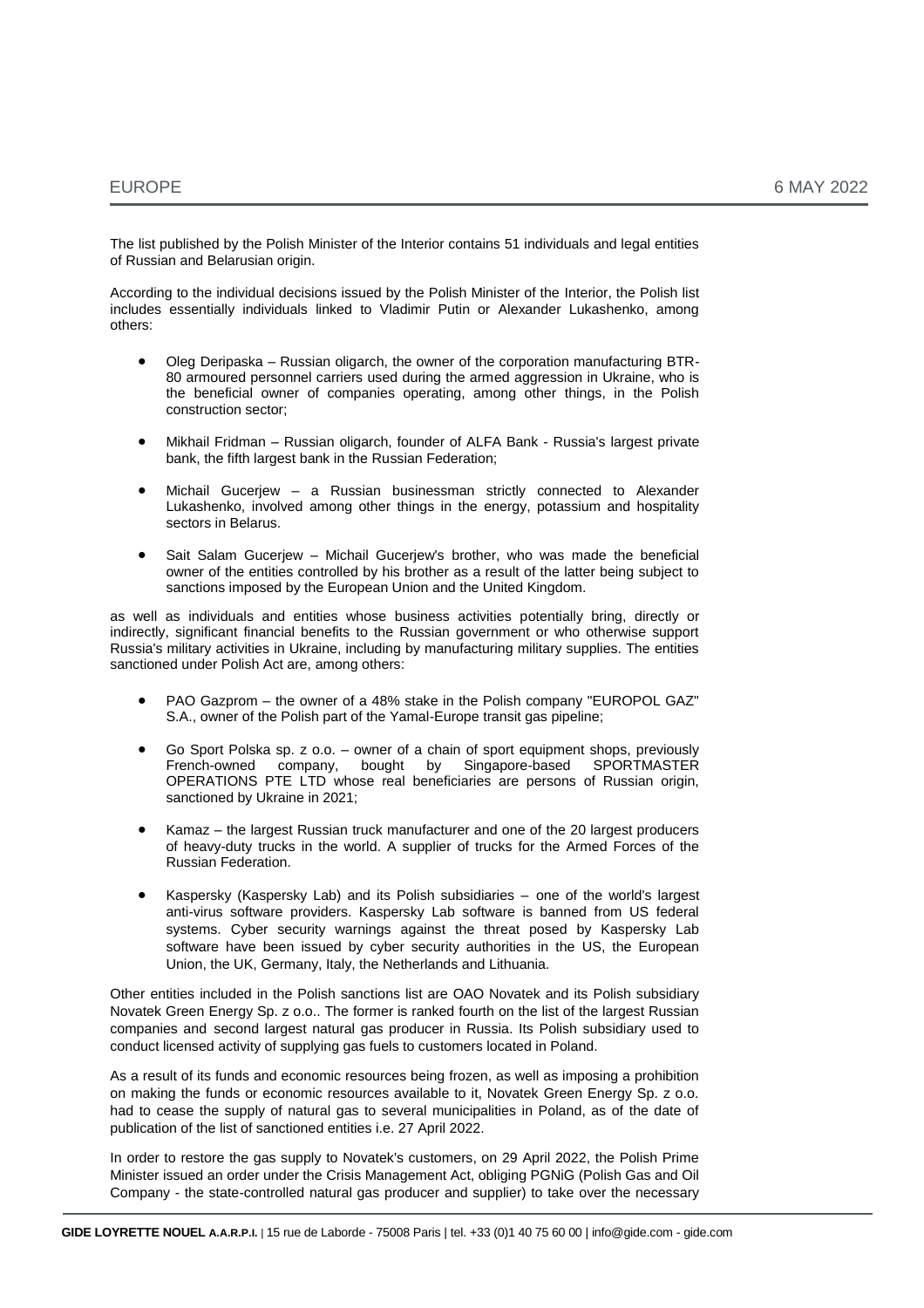The list published by the Polish Minister of the Interior contains 51 individuals and legal entities of Russian and Belarusian origin.

According to the individual decisions issued by the Polish Minister of the Interior, the Polish list includes essentially individuals linked to Vladimir Putin or Alexander Lukashenko, among others:

- Oleg Deripaska Russian oligarch, the owner of the corporation manufacturing BTR-80 armoured personnel carriers used during the armed aggression in Ukraine, who is the beneficial owner of companies operating, among other things, in the Polish construction sector;
- Mikhail Fridman Russian oligarch, founder of ALFA Bank Russia's largest private bank, the fifth largest bank in the Russian Federation;
- Michail Gucerjew a Russian businessman strictly connected to Alexander Lukashenko, involved among other things in the energy, potassium and hospitality sectors in Belarus.
- Sait Salam Gucerjew Michail Gucerjew's brother, who was made the beneficial owner of the entities controlled by his brother as a result of the latter being subject to sanctions imposed by the European Union and the United Kingdom.

as well as individuals and entities whose business activities potentially bring, directly or indirectly, significant financial benefits to the Russian government or who otherwise support Russia's military activities in Ukraine, including by manufacturing military supplies. The entities sanctioned under Polish Act are, among others:

- PAO Gazprom the owner of a 48% stake in the Polish company "EUROPOL GAZ" S.A., owner of the Polish part of the Yamal-Europe transit gas pipeline;
- Go Sport Polska sp. z o.o. owner of a chain of sport equipment shops, previously French-owned company, bought by Singapore-based SPORTMASTER OPERATIONS PTE LTD whose real beneficiaries are persons of Russian origin, sanctioned by Ukraine in 2021;
- Kamaz the largest Russian truck manufacturer and one of the 20 largest producers of heavy-duty trucks in the world. A supplier of trucks for the Armed Forces of the Russian Federation.
- Kaspersky (Kaspersky Lab) and its Polish subsidiaries one of the world's largest anti-virus software providers. Kaspersky Lab software is banned from US federal systems. Cyber security warnings against the threat posed by Kaspersky Lab software have been issued by cyber security authorities in the US, the European Union, the UK, Germany, Italy, the Netherlands and Lithuania.

Other entities included in the Polish sanctions list are OAO Novatek and its Polish subsidiary Novatek Green Energy Sp. z o.o.. The former is ranked fourth on the list of the largest Russian companies and second largest natural gas producer in Russia. Its Polish subsidiary used to conduct licensed activity of supplying gas fuels to customers located in Poland.

As a result of its funds and economic resources being frozen, as well as imposing a prohibition on making the funds or economic resources available to it, Novatek Green Energy Sp. z o.o. had to cease the supply of natural gas to several municipalities in Poland, as of the date of publication of the list of sanctioned entities i.e. 27 April 2022.

In order to restore the gas supply to Novatek's customers, on 29 April 2022, the Polish Prime Minister issued an order under the Crisis Management Act, obliging PGNiG (Polish Gas and Oil Company - the state-controlled natural gas producer and supplier) to take over the necessary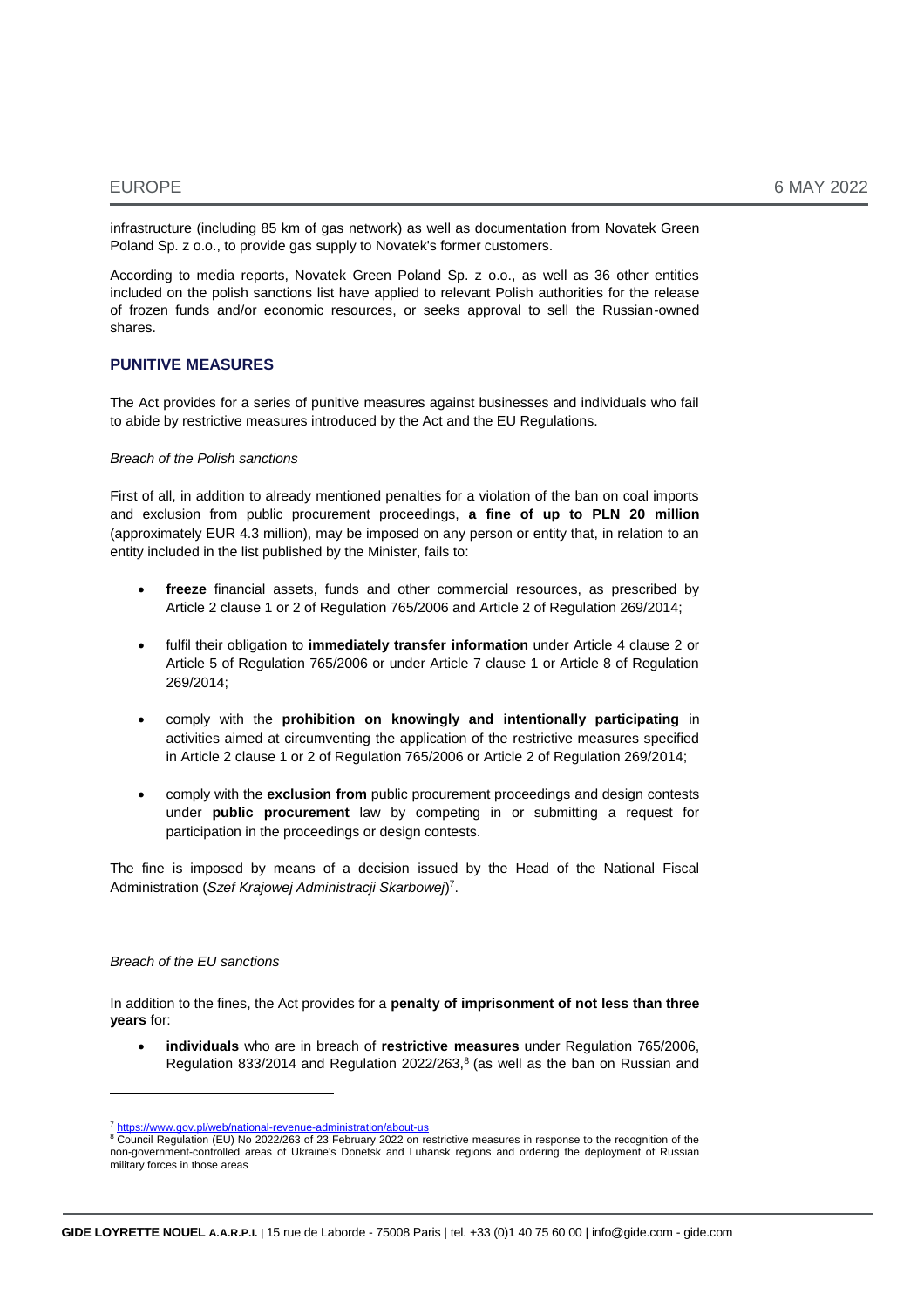infrastructure (including 85 km of gas network) as well as documentation from Novatek Green Poland Sp. z o.o., to provide gas supply to Novatek's former customers.

According to media reports, Novatek Green Poland Sp. z o.o., as well as 36 other entities included on the polish sanctions list have applied to relevant Polish authorities for the release of frozen funds and/or economic resources, or seeks approval to sell the Russian-owned shares.

#### **PUNITIVE MEASURES**

The Act provides for a series of punitive measures against businesses and individuals who fail to abide by restrictive measures introduced by the Act and the EU Regulations.

#### *Breach of the Polish sanctions*

First of all, in addition to already mentioned penalties for a violation of the ban on coal imports and exclusion from public procurement proceedings, **a fine of up to PLN 20 million** (approximately EUR 4.3 million), may be imposed on any person or entity that, in relation to an entity included in the list published by the Minister, fails to:

- **freeze** financial assets, funds and other commercial resources, as prescribed by Article 2 clause 1 or 2 of Regulation 765/2006 and Article 2 of Regulation 269/2014;
- fulfil their obligation to **immediately transfer information** under Article 4 clause 2 or Article 5 of Regulation 765/2006 or under Article 7 clause 1 or Article 8 of Regulation 269/2014;
- comply with the **prohibition on knowingly and intentionally participating** in activities aimed at circumventing the application of the restrictive measures specified in Article 2 clause 1 or 2 of Regulation 765/2006 or Article 2 of Regulation 269/2014;
- comply with the **exclusion from** public procurement proceedings and design contests under **public procurement** law by competing in or submitting a request for participation in the proceedings or design contests.

The fine is imposed by means of a decision issued by the Head of the National Fiscal Administration (*Szef Krajowej Administracji Skarbowej*) 7 .

#### *Breach of the EU sanctions*

In addition to the fines, the Act provides for a **penalty of imprisonment of not less than three years** for:

 **individuals** who are in breach of **restrictive measures** under Regulation 765/2006, Regulation 833/2014 and Regulation 2022/263, $8$  (as well as the ban on Russian and

<sup>7</sup> <https://www.gov.pl/web/national-revenue-administration/about-us>

<sup>8</sup> Council Regulation (EU) No 2022/263 of 23 February 2022 on restrictive measures in response to the recognition of the non-government-controlled areas of Ukraine's Donetsk and Luhansk regions and ordering the deployment of Russian military forces in those areas